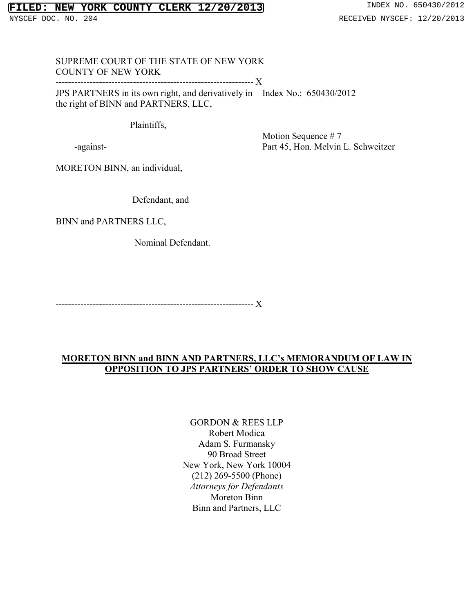# **FILED: NEW YORK COUNTY CLERK 12/20/2013** INDEX NO. 650430/2012

## SUPREME COURT OF THE STATE OF NEW YORK COUNTY OF NEW YORK

---------------------------------------------------------------- X JPS PARTNERS in its own right, and derivatively in Index No.: 650430/2012

the right of BINN and PARTNERS, LLC,

Plaintiffs,

-against-

Motion Sequence # 7 Part 45, Hon. Melvin L. Schweitzer

MORETON BINN, an individual,

Defendant, and

BINN and PARTNERS LLC,

Nominal Defendant.

---------------------------------------------------------------- X

# **MORETON BINN and BINN AND PARTNERS, LLC's MEMORANDUM OF LAW IN OPPOSITION TO JPS PARTNERS' ORDER TO SHOW CAUSE**

GORDON & REES LLP Robert Modica Adam S. Furmansky 90 Broad Street New York, New York 10004 (212) 269-5500 (Phone) *Attorneys for Defendants* Moreton Binn Binn and Partners, LLC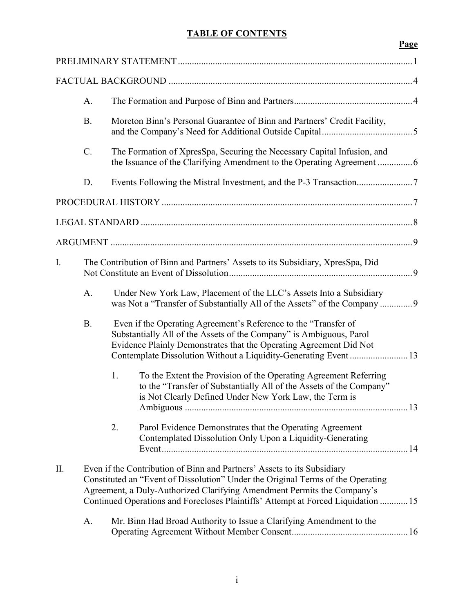# **TABLE OF CONTENTS**

|           |           |    |                                                                                                                                                                                                                                                                                                                            | Page |
|-----------|-----------|----|----------------------------------------------------------------------------------------------------------------------------------------------------------------------------------------------------------------------------------------------------------------------------------------------------------------------------|------|
|           |           |    |                                                                                                                                                                                                                                                                                                                            |      |
|           |           |    |                                                                                                                                                                                                                                                                                                                            |      |
|           | A.        |    |                                                                                                                                                                                                                                                                                                                            |      |
|           | <b>B.</b> |    | Moreton Binn's Personal Guarantee of Binn and Partners' Credit Facility,                                                                                                                                                                                                                                                   |      |
|           | $C$ .     |    | The Formation of XpresSpa, Securing the Necessary Capital Infusion, and                                                                                                                                                                                                                                                    |      |
|           | D.        |    |                                                                                                                                                                                                                                                                                                                            |      |
|           |           |    |                                                                                                                                                                                                                                                                                                                            |      |
|           |           |    |                                                                                                                                                                                                                                                                                                                            |      |
|           |           |    |                                                                                                                                                                                                                                                                                                                            |      |
| I.        |           |    | The Contribution of Binn and Partners' Assets to its Subsidiary, XpresSpa, Did                                                                                                                                                                                                                                             |      |
|           | A.        |    | Under New York Law, Placement of the LLC's Assets Into a Subsidiary<br>was Not a "Transfer of Substantially All of the Assets" of the Company  9                                                                                                                                                                           |      |
|           | <b>B.</b> |    | Even if the Operating Agreement's Reference to the "Transfer of<br>Substantially All of the Assets of the Company" is Ambiguous, Parol<br>Evidence Plainly Demonstrates that the Operating Agreement Did Not<br>Contemplate Dissolution Without a Liquidity-Generating Event  13                                           |      |
|           |           | 1. | To the Extent the Provision of the Operating Agreement Referring<br>to the "Transfer of Substantially All of the Assets of the Company"<br>is Not Clearly Defined Under New York Law, the Term is                                                                                                                          |      |
|           |           | 2. | Parol Evidence Demonstrates that the Operating Agreement<br>Contemplated Dissolution Only Upon a Liquidity-Generating                                                                                                                                                                                                      |      |
| $\prod$ . |           |    | Even if the Contribution of Binn and Partners' Assets to its Subsidiary<br>Constituted an "Event of Dissolution" Under the Original Terms of the Operating<br>Agreement, a Duly-Authorized Clarifying Amendment Permits the Company's<br>Continued Operations and Forecloses Plaintiffs' Attempt at Forced Liquidation  15 |      |
|           | A.        |    | Mr. Binn Had Broad Authority to Issue a Clarifying Amendment to the                                                                                                                                                                                                                                                        |      |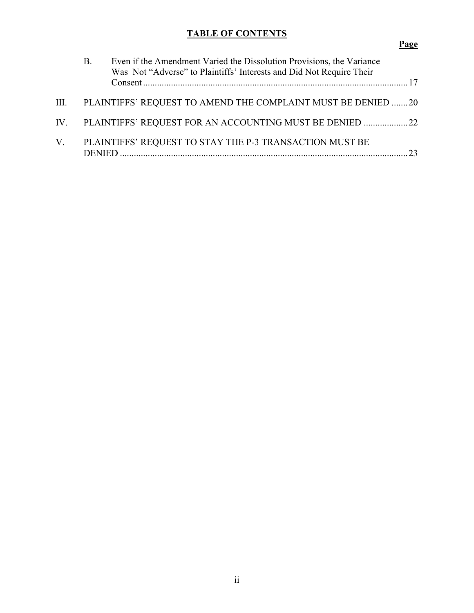# **TABLE OF CONTENTS**

# **Page**

|             | В.            | Even if the Amendment Varied the Dissolution Provisions, the Variance<br>Was Not "Adverse" to Plaintiffs' Interests and Did Not Require Their |    |
|-------------|---------------|-----------------------------------------------------------------------------------------------------------------------------------------------|----|
| III.        |               | PLAINTIFFS' REQUEST TO AMEND THE COMPLAINT MUST BE DENIED 20                                                                                  |    |
|             |               | IV. PLAINTIFFS' REQUEST FOR AN ACCOUNTING MUST BE DENIED 22                                                                                   |    |
| $V_{\cdot}$ | <b>DENIED</b> | PLAINTIFFS' REQUEST TO STAY THE P-3 TRANSACTION MUST BE                                                                                       | 23 |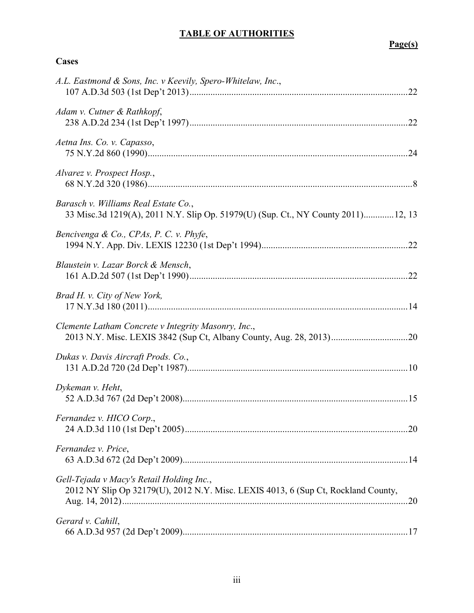# **TABLE OF AUTHORITIES**

**Cases**

# **Page(s)**

| A.L. Eastmond & Sons, Inc. v Keevily, Spero-Whitelaw, Inc.,                                                                    |  |
|--------------------------------------------------------------------------------------------------------------------------------|--|
| Adam v. Cutner & Rathkopf,                                                                                                     |  |
| Aetna Ins. Co. v. Capasso,                                                                                                     |  |
| Alvarez v. Prospect Hosp.,                                                                                                     |  |
| Barasch v. Williams Real Estate Co.,<br>33 Misc.3d 1219(A), 2011 N.Y. Slip Op. 51979(U) (Sup. Ct., NY County 2011)12, 13       |  |
| Bencivenga & Co., CPAs, P. C. v. Phyfe,                                                                                        |  |
| Blaustein v. Lazar Borck & Mensch,                                                                                             |  |
| Brad H. v. City of New York,                                                                                                   |  |
| Clemente Latham Concrete v Integrity Masonry, Inc.,<br>2013 N.Y. Misc. LEXIS 3842 (Sup Ct, Albany County, Aug. 28, 2013)20     |  |
| Dukas v. Davis Aircraft Prods. Co.,                                                                                            |  |
| Dykeman v. Heht,                                                                                                               |  |
| Fernandez v. HICO Corp.,                                                                                                       |  |
| Fernandez v. Price,                                                                                                            |  |
| Gell-Tejada v Macy's Retail Holding Inc.,<br>2012 NY Slip Op 32179(U), 2012 N.Y. Misc. LEXIS 4013, 6 (Sup Ct, Rockland County, |  |
| Gerard v. Cahill,                                                                                                              |  |
|                                                                                                                                |  |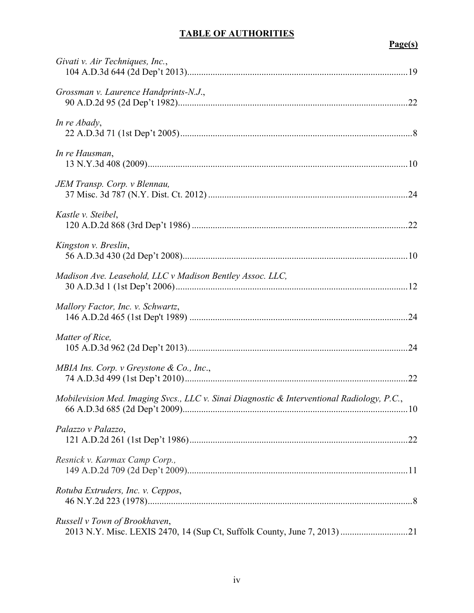# **TABLE OF AUTHORITIES**

# **Page(s)**

| Givati v. Air Techniques, Inc.,                                                            |  |
|--------------------------------------------------------------------------------------------|--|
| Grossman v. Laurence Handprints-N.J.,                                                      |  |
| In re Abady,                                                                               |  |
| In re Hausman,                                                                             |  |
| JEM Transp. Corp. v Blennau,                                                               |  |
| Kastle v. Steibel,                                                                         |  |
| Kingston v. Breslin,                                                                       |  |
| Madison Ave. Leasehold, LLC v Madison Bentley Assoc. LLC,                                  |  |
| Mallory Factor, Inc. v. Schwartz,                                                          |  |
| Matter of Rice,                                                                            |  |
| MBIA Ins. Corp. v Greystone & Co., Inc.,                                                   |  |
| Mobilevision Med. Imaging Svcs., LLC v. Sinai Diagnostic & Interventional Radiology, P.C., |  |
| Palazzo v Palazzo,                                                                         |  |
| Resnick v. Karmax Camp Corp.,                                                              |  |
| Rotuba Extruders, Inc. v. Ceppos,                                                          |  |
| Russell v Town of Brookhaven,                                                              |  |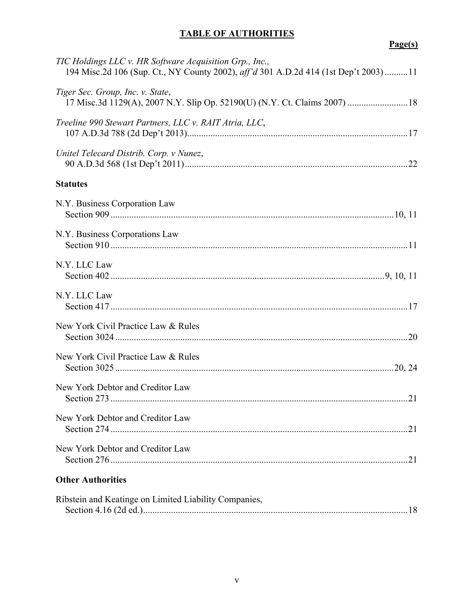# **TABLE OF AUTHORITIES**

**Page(s)**

| TIC Holdings LLC v. HR Software Acquisition Grp., Inc.,<br>194 Misc.2d 106 (Sup. Ct., NY County 2002), aff'd 301 A.D.2d 414 (1st Dep't 2003)11 |
|------------------------------------------------------------------------------------------------------------------------------------------------|
| Tiger Sec. Group, Inc. v. State,<br>17 Misc.3d 1129(A), 2007 N.Y. Slip Op. 52190(U) (N.Y. Ct. Claims 2007)  18                                 |
| Treeline 990 Stewart Partners, LLC v. RAIT Atria, LLC,                                                                                         |
| Unitel Telecard Distrib. Corp. v Nunez,                                                                                                        |
| <b>Statutes</b>                                                                                                                                |
| N.Y. Business Corporation Law                                                                                                                  |
| N.Y. Business Corporations Law                                                                                                                 |
| N.Y. LLC Law                                                                                                                                   |
| N.Y. LLC Law                                                                                                                                   |
| New York Civil Practice Law & Rules                                                                                                            |
| New York Civil Practice Law & Rules                                                                                                            |
| New York Debtor and Creditor Law                                                                                                               |
| New York Debtor and Creditor Law<br>21                                                                                                         |
| New York Debtor and Creditor Law                                                                                                               |
| <b>Other Authorities</b>                                                                                                                       |
| Ribstein and Keatinge on Limited Liability Companies,                                                                                          |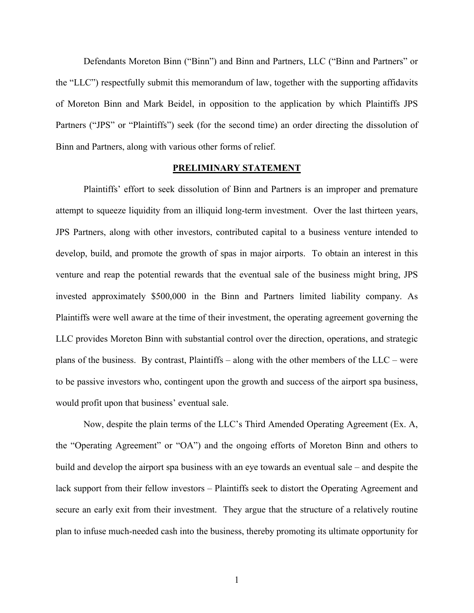Defendants Moreton Binn ("Binn") and Binn and Partners, LLC ("Binn and Partners" or the "LLC") respectfully submit this memorandum of law, together with the supporting affidavits of Moreton Binn and Mark Beidel, in opposition to the application by which Plaintiffs JPS Partners ("JPS" or "Plaintiffs") seek (for the second time) an order directing the dissolution of Binn and Partners, along with various other forms of relief.

### **PRELIMINARY STATEMENT**

Plaintiffs' effort to seek dissolution of Binn and Partners is an improper and premature attempt to squeeze liquidity from an illiquid long-term investment. Over the last thirteen years, JPS Partners, along with other investors, contributed capital to a business venture intended to develop, build, and promote the growth of spas in major airports. To obtain an interest in this venture and reap the potential rewards that the eventual sale of the business might bring, JPS invested approximately \$500,000 in the Binn and Partners limited liability company. As Plaintiffs were well aware at the time of their investment, the operating agreement governing the LLC provides Moreton Binn with substantial control over the direction, operations, and strategic plans of the business. By contrast, Plaintiffs – along with the other members of the LLC – were to be passive investors who, contingent upon the growth and success of the airport spa business, would profit upon that business' eventual sale.

Now, despite the plain terms of the LLC's Third Amended Operating Agreement (Ex. A, the "Operating Agreement" or "OA") and the ongoing efforts of Moreton Binn and others to build and develop the airport spa business with an eye towards an eventual sale – and despite the lack support from their fellow investors – Plaintiffs seek to distort the Operating Agreement and secure an early exit from their investment. They argue that the structure of a relatively routine plan to infuse much-needed cash into the business, thereby promoting its ultimate opportunity for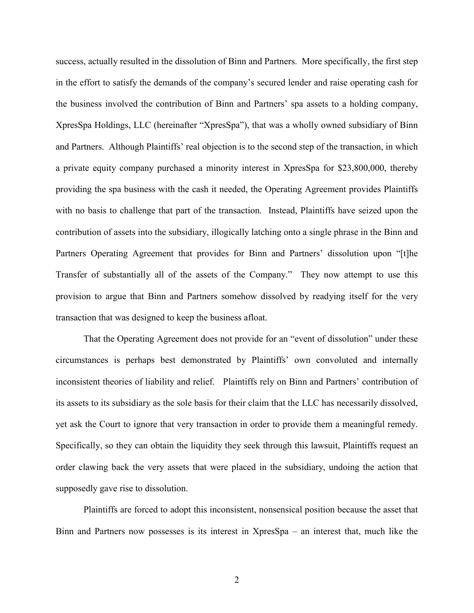success, actually resulted in the dissolution of Binn and Partners. More specifically, the first step in the effort to satisfy the demands of the company's secured lender and raise operating cash for the business involved the contribution of Binn and Partners' spa assets to a holding company, XpresSpa Holdings, LLC (hereinafter "XpresSpa"), that was a wholly owned subsidiary of Binn and Partners. Although Plaintiffs' real objection is to the second step of the transaction, in which a private equity company purchased a minority interest in XpresSpa for \$23,800,000, thereby providing the spa business with the cash it needed, the Operating Agreement provides Plaintiffs with no basis to challenge that part of the transaction. Instead, Plaintiffs have seized upon the contribution of assets into the subsidiary, illogically latching onto a single phrase in the Binn and Partners Operating Agreement that provides for Binn and Partners' dissolution upon "[t]he Transfer of substantially all of the assets of the Company." They now attempt to use this provision to argue that Binn and Partners somehow dissolved by readying itself for the very transaction that was designed to keep the business afloat.

That the Operating Agreement does not provide for an "event of dissolution" under these circumstances is perhaps best demonstrated by Plaintiffs' own convoluted and internally inconsistent theories of liability and relief. Plaintiffs rely on Binn and Partners' contribution of its assets to its subsidiary as the sole basis for their claim that the LLC has necessarily dissolved, yet ask the Court to ignore that very transaction in order to provide them a meaningful remedy. Specifically, so they can obtain the liquidity they seek through this lawsuit, Plaintiffs request an order clawing back the very assets that were placed in the subsidiary, undoing the action that supposedly gave rise to dissolution.

Plaintiffs are forced to adopt this inconsistent, nonsensical position because the asset that Binn and Partners now possesses is its interest in XpresSpa – an interest that, much like the

2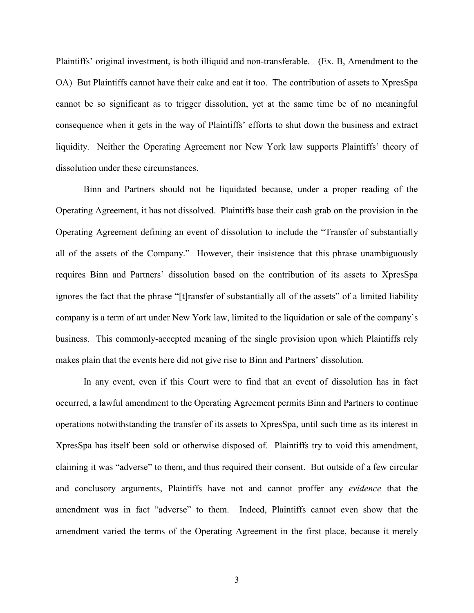Plaintiffs' original investment, is both illiquid and non-transferable. (Ex. B, Amendment to the OA) But Plaintiffs cannot have their cake and eat it too. The contribution of assets to XpresSpa cannot be so significant as to trigger dissolution, yet at the same time be of no meaningful consequence when it gets in the way of Plaintiffs' efforts to shut down the business and extract liquidity. Neither the Operating Agreement nor New York law supports Plaintiffs' theory of dissolution under these circumstances.

Binn and Partners should not be liquidated because, under a proper reading of the Operating Agreement, it has not dissolved. Plaintiffs base their cash grab on the provision in the Operating Agreement defining an event of dissolution to include the "Transfer of substantially all of the assets of the Company." However, their insistence that this phrase unambiguously requires Binn and Partners' dissolution based on the contribution of its assets to XpresSpa ignores the fact that the phrase "[t]ransfer of substantially all of the assets" of a limited liability company is a term of art under New York law, limited to the liquidation or sale of the company's business. This commonly-accepted meaning of the single provision upon which Plaintiffs rely makes plain that the events here did not give rise to Binn and Partners' dissolution.

In any event, even if this Court were to find that an event of dissolution has in fact occurred, a lawful amendment to the Operating Agreement permits Binn and Partners to continue operations notwithstanding the transfer of its assets to XpresSpa, until such time as its interest in XpresSpa has itself been sold or otherwise disposed of. Plaintiffs try to void this amendment, claiming it was "adverse" to them, and thus required their consent. But outside of a few circular and conclusory arguments, Plaintiffs have not and cannot proffer any *evidence* that the amendment was in fact "adverse" to them. Indeed, Plaintiffs cannot even show that the amendment varied the terms of the Operating Agreement in the first place, because it merely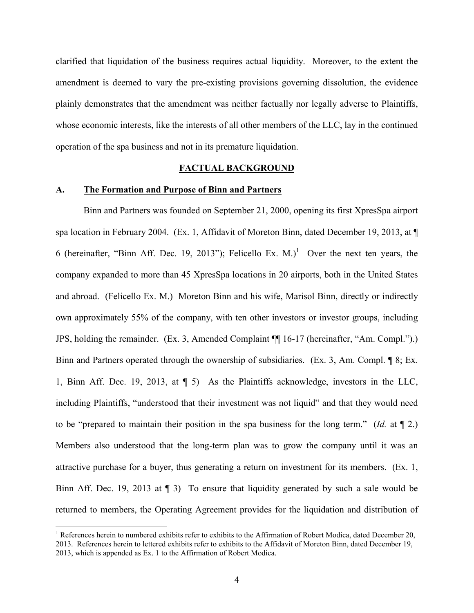clarified that liquidation of the business requires actual liquidity. Moreover, to the extent the amendment is deemed to vary the pre-existing provisions governing dissolution, the evidence plainly demonstrates that the amendment was neither factually nor legally adverse to Plaintiffs, whose economic interests, like the interests of all other members of the LLC, lay in the continued operation of the spa business and not in its premature liquidation.

### **FACTUAL BACKGROUND**

### **A. The Formation and Purpose of Binn and Partners**

 $\overline{a}$ 

Binn and Partners was founded on September 21, 2000, opening its first XpresSpa airport spa location in February 2004. (Ex. 1, Affidavit of Moreton Binn, dated December 19, 2013, at  $\P$ 6 (hereinafter, "Binn Aff. Dec. 19, 2013"); Felicello Ex. M.)<sup>1</sup> Over the next ten years, the company expanded to more than 45 XpresSpa locations in 20 airports, both in the United States and abroad. (Felicello Ex. M.) Moreton Binn and his wife, Marisol Binn, directly or indirectly own approximately 55% of the company, with ten other investors or investor groups, including JPS, holding the remainder. (Ex. 3, Amended Complaint ¶¶ 16-17 (hereinafter, "Am. Compl.").) Binn and Partners operated through the ownership of subsidiaries. (Ex. 3, Am. Compl. ¶ 8; Ex. 1, Binn Aff. Dec. 19, 2013, at ¶ 5) As the Plaintiffs acknowledge, investors in the LLC, including Plaintiffs, "understood that their investment was not liquid" and that they would need to be "prepared to maintain their position in the spa business for the long term." (*Id.* at ¶ 2.) Members also understood that the long-term plan was to grow the company until it was an attractive purchase for a buyer, thus generating a return on investment for its members. (Ex. 1, Binn Aff. Dec. 19, 2013 at ¶ 3) To ensure that liquidity generated by such a sale would be returned to members, the Operating Agreement provides for the liquidation and distribution of

<sup>&</sup>lt;sup>1</sup> References herein to numbered exhibits refer to exhibits to the Affirmation of Robert Modica, dated December 20, 2013. References herein to lettered exhibits refer to exhibits to the Affidavit of Moreton Binn, dated December 19, 2013, which is appended as Ex. 1 to the Affirmation of Robert Modica.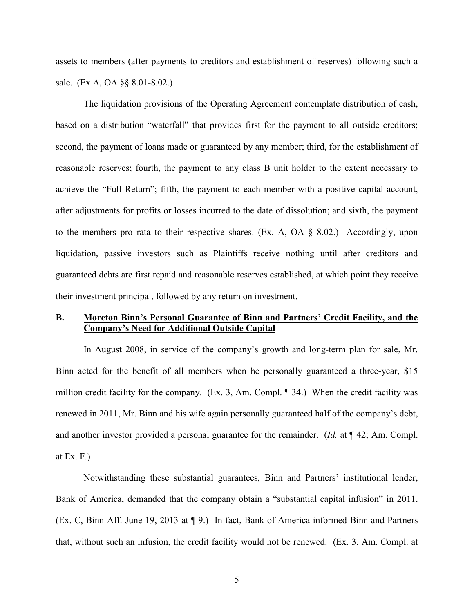assets to members (after payments to creditors and establishment of reserves) following such a sale. (Ex A, OA §§ 8.01-8.02.)

The liquidation provisions of the Operating Agreement contemplate distribution of cash, based on a distribution "waterfall" that provides first for the payment to all outside creditors; second, the payment of loans made or guaranteed by any member; third, for the establishment of reasonable reserves; fourth, the payment to any class B unit holder to the extent necessary to achieve the "Full Return"; fifth, the payment to each member with a positive capital account, after adjustments for profits or losses incurred to the date of dissolution; and sixth, the payment to the members pro rata to their respective shares. (Ex. A, OA  $\S$  8.02.) Accordingly, upon liquidation, passive investors such as Plaintiffs receive nothing until after creditors and guaranteed debts are first repaid and reasonable reserves established, at which point they receive their investment principal, followed by any return on investment.

## **B. Moreton Binn's Personal Guarantee of Binn and Partners' Credit Facility, and the Company's Need for Additional Outside Capital**

In August 2008, in service of the company's growth and long-term plan for sale, Mr. Binn acted for the benefit of all members when he personally guaranteed a three-year, \$15 million credit facility for the company. (Ex. 3, Am. Compl. ¶ 34.) When the credit facility was renewed in 2011, Mr. Binn and his wife again personally guaranteed half of the company's debt, and another investor provided a personal guarantee for the remainder. (*Id.* at ¶ 42; Am. Compl. at Ex.  $F.$ )

Notwithstanding these substantial guarantees, Binn and Partners' institutional lender, Bank of America, demanded that the company obtain a "substantial capital infusion" in 2011. (Ex. C, Binn Aff. June 19, 2013 at ¶ 9.) In fact, Bank of America informed Binn and Partners that, without such an infusion, the credit facility would not be renewed. (Ex. 3, Am. Compl. at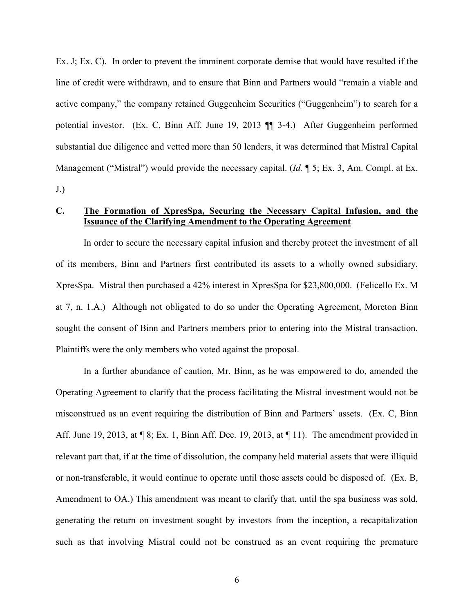Ex. J; Ex. C). In order to prevent the imminent corporate demise that would have resulted if the line of credit were withdrawn, and to ensure that Binn and Partners would "remain a viable and active company," the company retained Guggenheim Securities ("Guggenheim") to search for a potential investor. (Ex. C, Binn Aff. June 19, 2013 ¶¶ 3-4.) After Guggenheim performed substantial due diligence and vetted more than 50 lenders, it was determined that Mistral Capital Management ("Mistral") would provide the necessary capital. (*Id.* ¶ 5; Ex. 3, Am. Compl. at Ex.  $J.$ )

# **C. The Formation of XpresSpa, Securing the Necessary Capital Infusion, and the Issuance of the Clarifying Amendment to the Operating Agreement**

In order to secure the necessary capital infusion and thereby protect the investment of all of its members, Binn and Partners first contributed its assets to a wholly owned subsidiary, XpresSpa. Mistral then purchased a 42% interest in XpresSpa for \$23,800,000. (Felicello Ex. M at 7, n. 1.A.) Although not obligated to do so under the Operating Agreement, Moreton Binn sought the consent of Binn and Partners members prior to entering into the Mistral transaction. Plaintiffs were the only members who voted against the proposal.

In a further abundance of caution, Mr. Binn, as he was empowered to do, amended the Operating Agreement to clarify that the process facilitating the Mistral investment would not be misconstrued as an event requiring the distribution of Binn and Partners' assets. (Ex. C, Binn Aff. June 19, 2013, at ¶ 8; Ex. 1, Binn Aff. Dec. 19, 2013, at ¶ 11). The amendment provided in relevant part that, if at the time of dissolution, the company held material assets that were illiquid or non-transferable, it would continue to operate until those assets could be disposed of. (Ex. B, Amendment to OA.) This amendment was meant to clarify that, until the spa business was sold, generating the return on investment sought by investors from the inception, a recapitalization such as that involving Mistral could not be construed as an event requiring the premature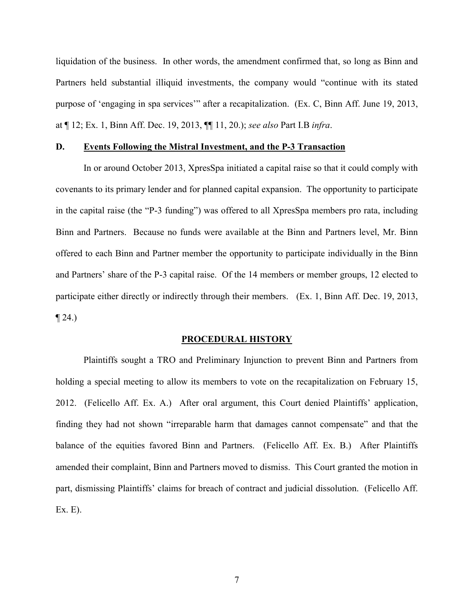liquidation of the business. In other words, the amendment confirmed that, so long as Binn and Partners held substantial illiquid investments, the company would "continue with its stated purpose of 'engaging in spa services'" after a recapitalization. (Ex. C, Binn Aff. June 19, 2013, at ¶ 12; Ex. 1, Binn Aff. Dec. 19, 2013, ¶¶ 11, 20.); *see also* Part I.B *infra*.

### **D. Events Following the Mistral Investment, and the P-3 Transaction**

In or around October 2013, XpresSpa initiated a capital raise so that it could comply with covenants to its primary lender and for planned capital expansion. The opportunity to participate in the capital raise (the "P-3 funding") was offered to all XpresSpa members pro rata, including Binn and Partners. Because no funds were available at the Binn and Partners level, Mr. Binn offered to each Binn and Partner member the opportunity to participate individually in the Binn and Partners' share of the P-3 capital raise. Of the 14 members or member groups, 12 elected to participate either directly or indirectly through their members. (Ex. 1, Binn Aff. Dec. 19, 2013,  $\P$  24.)

#### **PROCEDURAL HISTORY**

Plaintiffs sought a TRO and Preliminary Injunction to prevent Binn and Partners from holding a special meeting to allow its members to vote on the recapitalization on February 15, 2012. (Felicello Aff. Ex. A.) After oral argument, this Court denied Plaintiffs' application, finding they had not shown "irreparable harm that damages cannot compensate" and that the balance of the equities favored Binn and Partners. (Felicello Aff. Ex. B.) After Plaintiffs amended their complaint, Binn and Partners moved to dismiss. This Court granted the motion in part, dismissing Plaintiffs' claims for breach of contract and judicial dissolution. (Felicello Aff. Ex. E).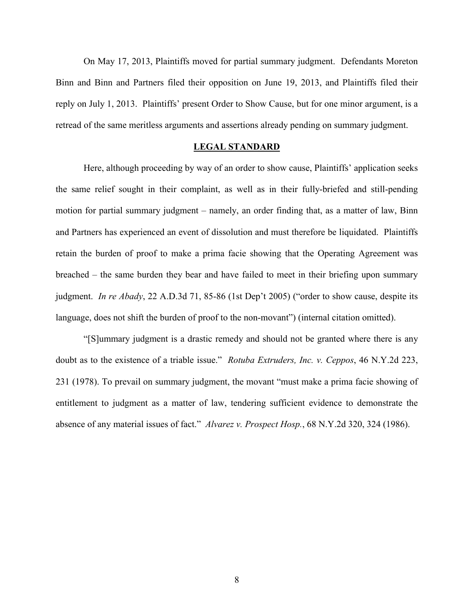On May 17, 2013, Plaintiffs moved for partial summary judgment. Defendants Moreton Binn and Binn and Partners filed their opposition on June 19, 2013, and Plaintiffs filed their reply on July 1, 2013. Plaintiffs' present Order to Show Cause, but for one minor argument, is a retread of the same meritless arguments and assertions already pending on summary judgment.

### **LEGAL STANDARD**

Here, although proceeding by way of an order to show cause, Plaintiffs' application seeks the same relief sought in their complaint, as well as in their fully-briefed and still-pending motion for partial summary judgment – namely, an order finding that, as a matter of law, Binn and Partners has experienced an event of dissolution and must therefore be liquidated. Plaintiffs retain the burden of proof to make a prima facie showing that the Operating Agreement was breached – the same burden they bear and have failed to meet in their briefing upon summary judgment. *In re Abady*, 22 A.D.3d 71, 85-86 (1st Dep't 2005) ("order to show cause, despite its language, does not shift the burden of proof to the non-movant") (internal citation omitted).

"[S]ummary judgment is a drastic remedy and should not be granted where there is any doubt as to the existence of a triable issue." *Rotuba Extruders, Inc. v. Ceppos*, 46 N.Y.2d 223, 231 (1978). To prevail on summary judgment, the movant "must make a prima facie showing of entitlement to judgment as a matter of law, tendering sufficient evidence to demonstrate the absence of any material issues of fact." *Alvarez v. Prospect Hosp.*, 68 N.Y.2d 320, 324 (1986).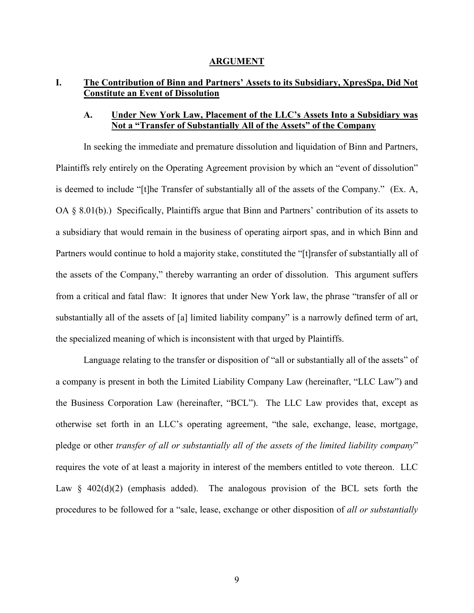### **ARGUMENT**

# **I. The Contribution of Binn and Partners' Assets to its Subsidiary, XpresSpa, Did Not Constitute an Event of Dissolution**

### **A. Under New York Law, Placement of the LLC's Assets Into a Subsidiary was Not a "Transfer of Substantially All of the Assets" of the Company**

In seeking the immediate and premature dissolution and liquidation of Binn and Partners, Plaintiffs rely entirely on the Operating Agreement provision by which an "event of dissolution" is deemed to include "[t]he Transfer of substantially all of the assets of the Company." (Ex. A, OA § 8.01(b).) Specifically, Plaintiffs argue that Binn and Partners' contribution of its assets to a subsidiary that would remain in the business of operating airport spas, and in which Binn and Partners would continue to hold a majority stake, constituted the "[t]ransfer of substantially all of the assets of the Company," thereby warranting an order of dissolution. This argument suffers from a critical and fatal flaw: It ignores that under New York law, the phrase "transfer of all or substantially all of the assets of [a] limited liability company" is a narrowly defined term of art, the specialized meaning of which is inconsistent with that urged by Plaintiffs.

Language relating to the transfer or disposition of "all or substantially all of the assets" of a company is present in both the Limited Liability Company Law (hereinafter, "LLC Law") and the Business Corporation Law (hereinafter, "BCL"). The LLC Law provides that, except as otherwise set forth in an LLC's operating agreement, "the sale, exchange, lease, mortgage, pledge or other *transfer of all or substantially all of the assets of the limited liability company*" requires the vote of at least a majority in interest of the members entitled to vote thereon. LLC Law  $\S$  402(d)(2) (emphasis added). The analogous provision of the BCL sets forth the procedures to be followed for a "sale, lease, exchange or other disposition of *all or substantially*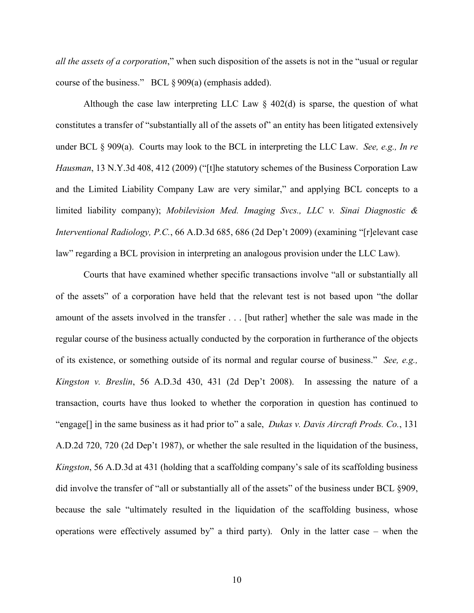*all the assets of a corporation*," when such disposition of the assets is not in the "usual or regular course of the business." BCL § 909(a) (emphasis added).

Although the case law interpreting LLC Law  $\S$  402(d) is sparse, the question of what constitutes a transfer of "substantially all of the assets of" an entity has been litigated extensively under BCL § 909(a). Courts may look to the BCL in interpreting the LLC Law. *See, e.g., In re Hausman*, 13 N.Y.3d 408, 412 (2009) ("[t]he statutory schemes of the Business Corporation Law and the Limited Liability Company Law are very similar," and applying BCL concepts to a limited liability company); *Mobilevision Med. Imaging Svcs., LLC v. Sinai Diagnostic & Interventional Radiology, P.C.*, 66 A.D.3d 685, 686 (2d Dep't 2009) (examining "[r]elevant case law" regarding a BCL provision in interpreting an analogous provision under the LLC Law).

Courts that have examined whether specific transactions involve "all or substantially all of the assets" of a corporation have held that the relevant test is not based upon "the dollar amount of the assets involved in the transfer . . . [but rather] whether the sale was made in the regular course of the business actually conducted by the corporation in furtherance of the objects of its existence, or something outside of its normal and regular course of business." *See, e.g., Kingston v. Breslin*, 56 A.D.3d 430, 431 (2d Dep't 2008). In assessing the nature of a transaction, courts have thus looked to whether the corporation in question has continued to "engage[] in the same business as it had prior to" a sale, *Dukas v. Davis Aircraft Prods. Co.*, 131 A.D.2d 720, 720 (2d Dep't 1987), or whether the sale resulted in the liquidation of the business, *Kingston*, 56 A.D.3d at 431 (holding that a scaffolding company's sale of its scaffolding business did involve the transfer of "all or substantially all of the assets" of the business under BCL §909, because the sale "ultimately resulted in the liquidation of the scaffolding business, whose operations were effectively assumed by" a third party). Only in the latter case – when the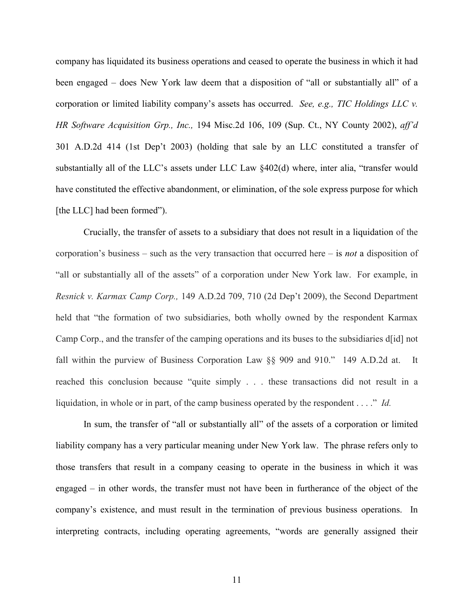company has liquidated its business operations and ceased to operate the business in which it had been engaged – does New York law deem that a disposition of "all or substantially all" of a corporation or limited liability company's assets has occurred. *See, e.g., TIC Holdings LLC v. HR Software Acquisition Grp., Inc.,* 194 Misc.2d 106, 109 (Sup. Ct., NY County 2002), *aff'd*  301 A.D.2d 414 (1st Dep't 2003) (holding that sale by an LLC constituted a transfer of substantially all of the LLC's assets under LLC Law §402(d) where, inter alia, "transfer would have constituted the effective abandonment, or elimination, of the sole express purpose for which [the LLC] had been formed").

Crucially, the transfer of assets to a subsidiary that does not result in a liquidation of the corporation's business – such as the very transaction that occurred here – is *not* a disposition of "all or substantially all of the assets" of a corporation under New York law. For example, in *Resnick v. Karmax Camp Corp.,* 149 A.D.2d 709, 710 (2d Dep't 2009), the Second Department held that "the formation of two subsidiaries, both wholly owned by the respondent Karmax Camp Corp., and the transfer of the camping operations and its buses to the subsidiaries d[id] not fall within the purview of Business Corporation Law §§ 909 and 910." 149 A.D.2d at. It reached this conclusion because "quite simply . . . these transactions did not result in a liquidation, in whole or in part, of the camp business operated by the respondent . . . ." *Id.* 

In sum, the transfer of "all or substantially all" of the assets of a corporation or limited liability company has a very particular meaning under New York law. The phrase refers only to those transfers that result in a company ceasing to operate in the business in which it was engaged – in other words, the transfer must not have been in furtherance of the object of the company's existence, and must result in the termination of previous business operations. In interpreting contracts, including operating agreements, "words are generally assigned their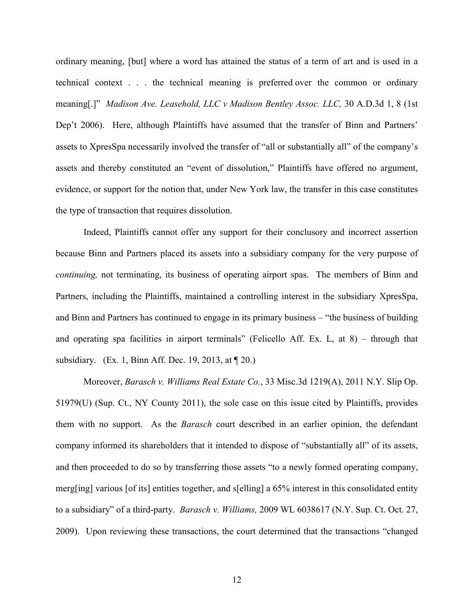ordinary meaning, [but] where a word has attained the status of a term of art and is used in a technical context . . . the technical meaning is preferred over the common or ordinary meaning[.]" *Madison Ave. Leasehold, LLC v Madison Bentley Assoc. LLC,* 30 A.D.3d 1, 8 (1st Dep't 2006). Here, although Plaintiffs have assumed that the transfer of Binn and Partners' assets to XpresSpa necessarily involved the transfer of "all or substantially all" of the company's assets and thereby constituted an "event of dissolution," Plaintiffs have offered no argument, evidence, or support for the notion that, under New York law, the transfer in this case constitutes the type of transaction that requires dissolution.

Indeed, Plaintiffs cannot offer any support for their conclusory and incorrect assertion because Binn and Partners placed its assets into a subsidiary company for the very purpose of *continuing,* not terminating, its business of operating airport spas. The members of Binn and Partners, including the Plaintiffs, maintained a controlling interest in the subsidiary XpresSpa, and Binn and Partners has continued to engage in its primary business – "the business of building and operating spa facilities in airport terminals" (Felicello Aff. Ex. L, at 8) – through that subsidiary. (Ex. 1, Binn Aff. Dec. 19, 2013, at ¶ 20.)

Moreover, *Barasch v. Williams Real Estate Co.*, 33 Misc.3d 1219(A), 2011 N.Y. Slip Op. 51979(U) (Sup. Ct., NY County 2011), the sole case on this issue cited by Plaintiffs, provides them with no support. As the *Barasch* court described in an earlier opinion, the defendant company informed its shareholders that it intended to dispose of "substantially all" of its assets, and then proceeded to do so by transferring those assets "to a newly formed operating company, merg[ing] various [of its] entities together, and s[elling] a 65% interest in this consolidated entity to a subsidiary" of a third-party. *Barasch v. Williams,* 2009 WL 6038617 (N.Y. Sup. Ct. Oct. 27, 2009). Upon reviewing these transactions, the court determined that the transactions "changed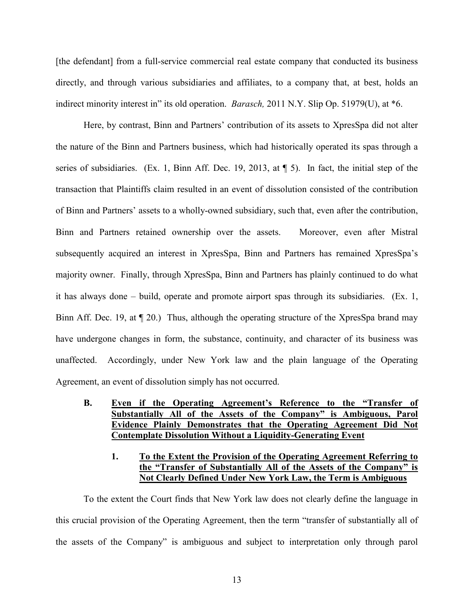[the defendant] from a full-service commercial real estate company that conducted its business directly, and through various subsidiaries and affiliates, to a company that, at best, holds an indirect minority interest in" its old operation. *Barasch,* 2011 N.Y. Slip Op. 51979(U), at \*6.

Here, by contrast, Binn and Partners' contribution of its assets to XpresSpa did not alter the nature of the Binn and Partners business, which had historically operated its spas through a series of subsidiaries. (Ex. 1, Binn Aff. Dec. 19, 2013, at ¶ 5). In fact, the initial step of the transaction that Plaintiffs claim resulted in an event of dissolution consisted of the contribution of Binn and Partners' assets to a wholly-owned subsidiary, such that, even after the contribution, Binn and Partners retained ownership over the assets. Moreover, even after Mistral subsequently acquired an interest in XpresSpa, Binn and Partners has remained XpresSpa's majority owner. Finally, through XpresSpa, Binn and Partners has plainly continued to do what it has always done – build, operate and promote airport spas through its subsidiaries. (Ex. 1, Binn Aff. Dec. 19, at ¶ 20.) Thus, although the operating structure of the XpresSpa brand may have undergone changes in form, the substance, continuity, and character of its business was unaffected. Accordingly, under New York law and the plain language of the Operating Agreement, an event of dissolution simply has not occurred.

### **B. Even if the Operating Agreement's Reference to the "Transfer of Substantially All of the Assets of the Company" is Ambiguous, Parol Evidence Plainly Demonstrates that the Operating Agreement Did Not Contemplate Dissolution Without a Liquidity-Generating Event**

### **1. To the Extent the Provision of the Operating Agreement Referring to the "Transfer of Substantially All of the Assets of the Company" is Not Clearly Defined Under New York Law, the Term is Ambiguous**

To the extent the Court finds that New York law does not clearly define the language in this crucial provision of the Operating Agreement, then the term "transfer of substantially all of the assets of the Company" is ambiguous and subject to interpretation only through parol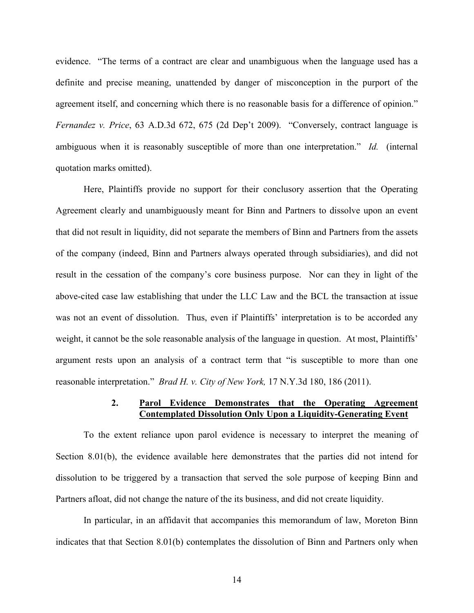evidence. "The terms of a contract are clear and unambiguous when the language used has a definite and precise meaning, unattended by danger of misconception in the purport of the agreement itself, and concerning which there is no reasonable basis for a difference of opinion." *Fernandez v. Price*, 63 A.D.3d 672, 675 (2d Dep't 2009). "Conversely, contract language is ambiguous when it is reasonably susceptible of more than one interpretation." *Id.* (internal quotation marks omitted).

Here, Plaintiffs provide no support for their conclusory assertion that the Operating Agreement clearly and unambiguously meant for Binn and Partners to dissolve upon an event that did not result in liquidity, did not separate the members of Binn and Partners from the assets of the company (indeed, Binn and Partners always operated through subsidiaries), and did not result in the cessation of the company's core business purpose. Nor can they in light of the above-cited case law establishing that under the LLC Law and the BCL the transaction at issue was not an event of dissolution. Thus, even if Plaintiffs' interpretation is to be accorded any weight, it cannot be the sole reasonable analysis of the language in question. At most, Plaintiffs' argument rests upon an analysis of a contract term that "is susceptible to more than one reasonable interpretation." *Brad H. v. City of New York,* 17 N.Y.3d 180, 186 (2011).

### **2. Parol Evidence Demonstrates that the Operating Agreement Contemplated Dissolution Only Upon a Liquidity-Generating Event**

To the extent reliance upon parol evidence is necessary to interpret the meaning of Section 8.01(b), the evidence available here demonstrates that the parties did not intend for dissolution to be triggered by a transaction that served the sole purpose of keeping Binn and Partners afloat, did not change the nature of the its business, and did not create liquidity.

In particular, in an affidavit that accompanies this memorandum of law, Moreton Binn indicates that that Section 8.01(b) contemplates the dissolution of Binn and Partners only when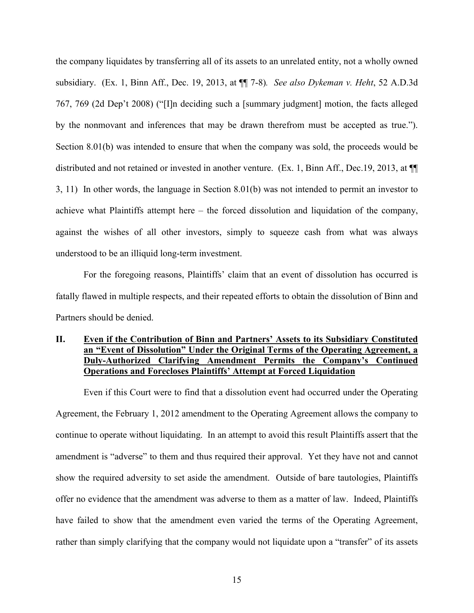the company liquidates by transferring all of its assets to an unrelated entity, not a wholly owned subsidiary. (Ex. 1, Binn Aff., Dec. 19, 2013, at ¶¶ 7-8)*. See also Dykeman v. Heht*, 52 A.D.3d 767, 769 (2d Dep't 2008) ("[I]n deciding such a [summary judgment] motion, the facts alleged by the nonmovant and inferences that may be drawn therefrom must be accepted as true."). Section 8.01(b) was intended to ensure that when the company was sold, the proceeds would be distributed and not retained or invested in another venture. (Ex. 1, Binn Aff., Dec.19, 2013, at ¶¶ 3, 11) In other words, the language in Section 8.01(b) was not intended to permit an investor to achieve what Plaintiffs attempt here – the forced dissolution and liquidation of the company, against the wishes of all other investors, simply to squeeze cash from what was always understood to be an illiquid long-term investment.

For the foregoing reasons, Plaintiffs' claim that an event of dissolution has occurred is fatally flawed in multiple respects, and their repeated efforts to obtain the dissolution of Binn and Partners should be denied.

## **II. Even if the Contribution of Binn and Partners' Assets to its Subsidiary Constituted an "Event of Dissolution" Under the Original Terms of the Operating Agreement, a Duly-Authorized Clarifying Amendment Permits the Company's Continued Operations and Forecloses Plaintiffs' Attempt at Forced Liquidation**

Even if this Court were to find that a dissolution event had occurred under the Operating Agreement, the February 1, 2012 amendment to the Operating Agreement allows the company to continue to operate without liquidating. In an attempt to avoid this result Plaintiffs assert that the amendment is "adverse" to them and thus required their approval. Yet they have not and cannot show the required adversity to set aside the amendment. Outside of bare tautologies, Plaintiffs offer no evidence that the amendment was adverse to them as a matter of law. Indeed, Plaintiffs have failed to show that the amendment even varied the terms of the Operating Agreement, rather than simply clarifying that the company would not liquidate upon a "transfer" of its assets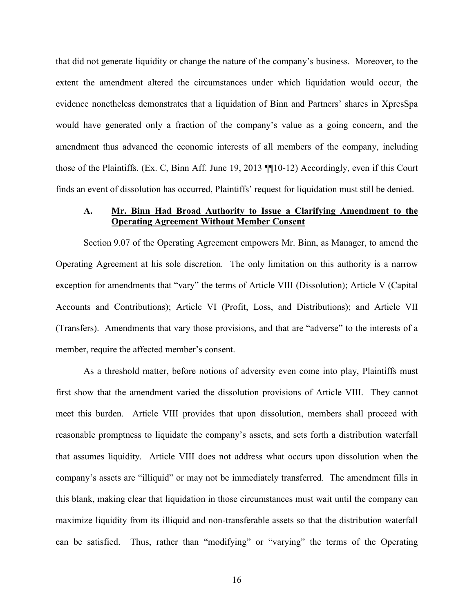that did not generate liquidity or change the nature of the company's business. Moreover, to the extent the amendment altered the circumstances under which liquidation would occur, the evidence nonetheless demonstrates that a liquidation of Binn and Partners' shares in XpresSpa would have generated only a fraction of the company's value as a going concern, and the amendment thus advanced the economic interests of all members of the company, including those of the Plaintiffs. (Ex. C, Binn Aff. June 19, 2013 ¶¶10-12) Accordingly, even if this Court finds an event of dissolution has occurred, Plaintiffs' request for liquidation must still be denied.

### **A. Mr. Binn Had Broad Authority to Issue a Clarifying Amendment to the Operating Agreement Without Member Consent**

Section 9.07 of the Operating Agreement empowers Mr. Binn, as Manager, to amend the Operating Agreement at his sole discretion. The only limitation on this authority is a narrow exception for amendments that "vary" the terms of Article VIII (Dissolution); Article V (Capital Accounts and Contributions); Article VI (Profit, Loss, and Distributions); and Article VII (Transfers). Amendments that vary those provisions, and that are "adverse" to the interests of a member, require the affected member's consent.

As a threshold matter, before notions of adversity even come into play, Plaintiffs must first show that the amendment varied the dissolution provisions of Article VIII. They cannot meet this burden. Article VIII provides that upon dissolution, members shall proceed with reasonable promptness to liquidate the company's assets, and sets forth a distribution waterfall that assumes liquidity. Article VIII does not address what occurs upon dissolution when the company's assets are "illiquid" or may not be immediately transferred. The amendment fills in this blank, making clear that liquidation in those circumstances must wait until the company can maximize liquidity from its illiquid and non-transferable assets so that the distribution waterfall can be satisfied. Thus, rather than "modifying" or "varying" the terms of the Operating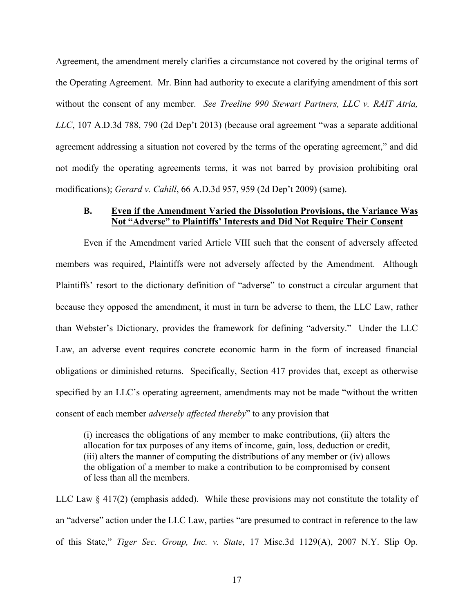Agreement, the amendment merely clarifies a circumstance not covered by the original terms of the Operating Agreement. Mr. Binn had authority to execute a clarifying amendment of this sort without the consent of any member. *See Treeline 990 Stewart Partners, LLC v. RAIT Atria, LLC*, 107 A.D.3d 788, 790 (2d Dep't 2013) (because oral agreement "was a separate additional agreement addressing a situation not covered by the terms of the operating agreement," and did not modify the operating agreements terms, it was not barred by provision prohibiting oral modifications); *Gerard v. Cahill*, 66 A.D.3d 957, 959 (2d Dep't 2009) (same).

### **B. Even if the Amendment Varied the Dissolution Provisions, the Variance Was Not "Adverse" to Plaintiffs' Interests and Did Not Require Their Consent**

Even if the Amendment varied Article VIII such that the consent of adversely affected members was required, Plaintiffs were not adversely affected by the Amendment. Although Plaintiffs' resort to the dictionary definition of "adverse" to construct a circular argument that because they opposed the amendment, it must in turn be adverse to them, the LLC Law, rather than Webster's Dictionary, provides the framework for defining "adversity." Under the LLC Law, an adverse event requires concrete economic harm in the form of increased financial obligations or diminished returns. Specifically, Section 417 provides that, except as otherwise specified by an LLC's operating agreement, amendments may not be made "without the written consent of each member *adversely affected thereby*" to any provision that

(i) increases the obligations of any member to make contributions, (ii) alters the allocation for tax purposes of any items of income, gain, loss, deduction or credit, (iii) alters the manner of computing the distributions of any member or (iv) allows the obligation of a member to make a contribution to be compromised by consent of less than all the members.

LLC Law § 417(2) (emphasis added). While these provisions may not constitute the totality of an "adverse" action under the LLC Law, parties "are presumed to contract in reference to the law of this State," *Tiger Sec. Group, Inc. v. State*, 17 Misc.3d 1129(A), 2007 N.Y. Slip Op.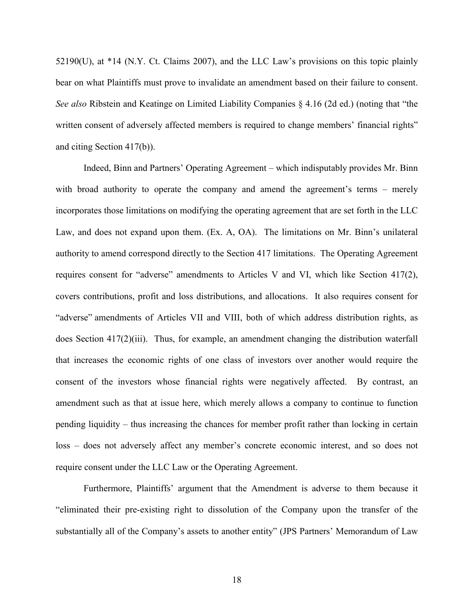52190(U), at \*14 (N.Y. Ct. Claims 2007), and the LLC Law's provisions on this topic plainly bear on what Plaintiffs must prove to invalidate an amendment based on their failure to consent. *See also* Ribstein and Keatinge on Limited Liability Companies § 4.16 (2d ed.) (noting that "the written consent of adversely affected members is required to change members' financial rights" and citing Section 417(b)).

Indeed, Binn and Partners' Operating Agreement – which indisputably provides Mr. Binn with broad authority to operate the company and amend the agreement's terms – merely incorporates those limitations on modifying the operating agreement that are set forth in the LLC Law, and does not expand upon them. (Ex. A, OA). The limitations on Mr. Binn's unilateral authority to amend correspond directly to the Section 417 limitations. The Operating Agreement requires consent for "adverse" amendments to Articles V and VI, which like Section 417(2), covers contributions, profit and loss distributions, and allocations. It also requires consent for "adverse" amendments of Articles VII and VIII, both of which address distribution rights, as does Section 417(2)(iii). Thus, for example, an amendment changing the distribution waterfall that increases the economic rights of one class of investors over another would require the consent of the investors whose financial rights were negatively affected. By contrast, an amendment such as that at issue here, which merely allows a company to continue to function pending liquidity – thus increasing the chances for member profit rather than locking in certain loss – does not adversely affect any member's concrete economic interest, and so does not require consent under the LLC Law or the Operating Agreement.

Furthermore, Plaintiffs' argument that the Amendment is adverse to them because it "eliminated their pre-existing right to dissolution of the Company upon the transfer of the substantially all of the Company's assets to another entity" (JPS Partners' Memorandum of Law

18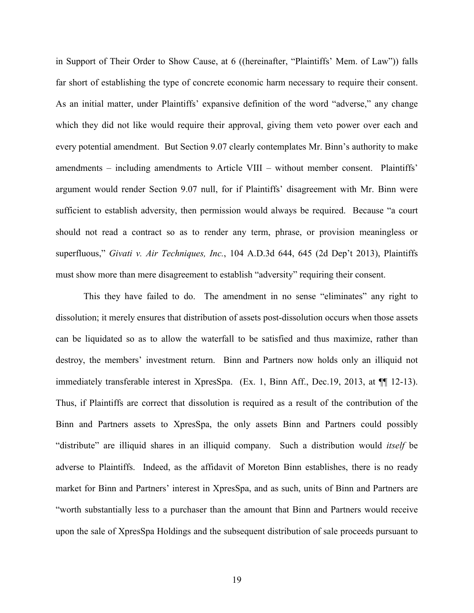in Support of Their Order to Show Cause, at 6 ((hereinafter, "Plaintiffs' Mem. of Law")) falls far short of establishing the type of concrete economic harm necessary to require their consent. As an initial matter, under Plaintiffs' expansive definition of the word "adverse," any change which they did not like would require their approval, giving them veto power over each and every potential amendment. But Section 9.07 clearly contemplates Mr. Binn's authority to make amendments – including amendments to Article VIII – without member consent. Plaintiffs' argument would render Section 9.07 null, for if Plaintiffs' disagreement with Mr. Binn were sufficient to establish adversity, then permission would always be required. Because "a court should not read a contract so as to render any term, phrase, or provision meaningless or superfluous," *Givati v. Air Techniques, Inc.*, 104 A.D.3d 644, 645 (2d Dep't 2013), Plaintiffs must show more than mere disagreement to establish "adversity" requiring their consent.

This they have failed to do. The amendment in no sense "eliminates" any right to dissolution; it merely ensures that distribution of assets post-dissolution occurs when those assets can be liquidated so as to allow the waterfall to be satisfied and thus maximize, rather than destroy, the members' investment return. Binn and Partners now holds only an illiquid not immediately transferable interest in XpresSpa. (Ex. 1, Binn Aff., Dec.19, 2013, at ¶¶ 12-13). Thus, if Plaintiffs are correct that dissolution is required as a result of the contribution of the Binn and Partners assets to XpresSpa, the only assets Binn and Partners could possibly "distribute" are illiquid shares in an illiquid company. Such a distribution would *itself* be adverse to Plaintiffs. Indeed, as the affidavit of Moreton Binn establishes, there is no ready market for Binn and Partners' interest in XpresSpa, and as such, units of Binn and Partners are "worth substantially less to a purchaser than the amount that Binn and Partners would receive upon the sale of XpresSpa Holdings and the subsequent distribution of sale proceeds pursuant to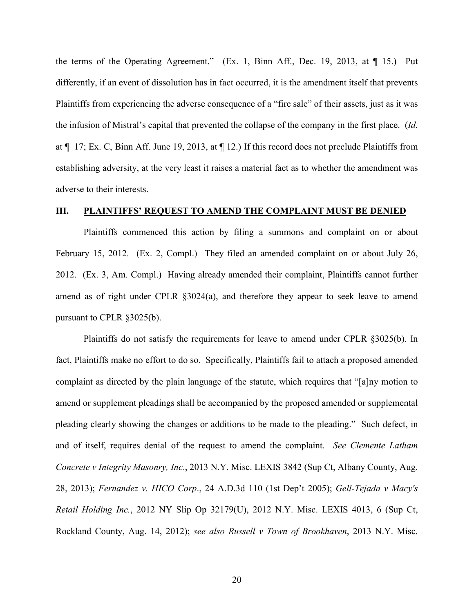the terms of the Operating Agreement." (Ex. 1, Binn Aff., Dec. 19, 2013, at ¶ 15.) Put differently, if an event of dissolution has in fact occurred, it is the amendment itself that prevents Plaintiffs from experiencing the adverse consequence of a "fire sale" of their assets, just as it was the infusion of Mistral's capital that prevented the collapse of the company in the first place. (*Id.*  at ¶ 17; Ex. C, Binn Aff. June 19, 2013, at ¶ 12.) If this record does not preclude Plaintiffs from establishing adversity, at the very least it raises a material fact as to whether the amendment was adverse to their interests.

### **III. PLAINTIFFS' REQUEST TO AMEND THE COMPLAINT MUST BE DENIED**

Plaintiffs commenced this action by filing a summons and complaint on or about February 15, 2012. (Ex. 2, Compl.) They filed an amended complaint on or about July 26, 2012. (Ex. 3, Am. Compl.) Having already amended their complaint, Plaintiffs cannot further amend as of right under CPLR §3024(a), and therefore they appear to seek leave to amend pursuant to CPLR §3025(b).

Plaintiffs do not satisfy the requirements for leave to amend under CPLR §3025(b). In fact, Plaintiffs make no effort to do so. Specifically, Plaintiffs fail to attach a proposed amended complaint as directed by the plain language of the statute, which requires that "[a]ny motion to amend or supplement pleadings shall be accompanied by the proposed amended or supplemental pleading clearly showing the changes or additions to be made to the pleading." Such defect, in and of itself, requires denial of the request to amend the complaint. *See Clemente Latham Concrete v Integrity Masonry, Inc*., 2013 N.Y. Misc. LEXIS 3842 (Sup Ct, Albany County, Aug. 28, 2013); *Fernandez v. HICO Corp*., 24 A.D.3d 110 (1st Dep't 2005); *Gell-Tejada v Macy's Retail Holding Inc.*, 2012 NY Slip Op 32179(U), 2012 N.Y. Misc. LEXIS 4013, 6 (Sup Ct, Rockland County, Aug. 14, 2012); *see also Russell v Town of Brookhaven*, 2013 N.Y. Misc.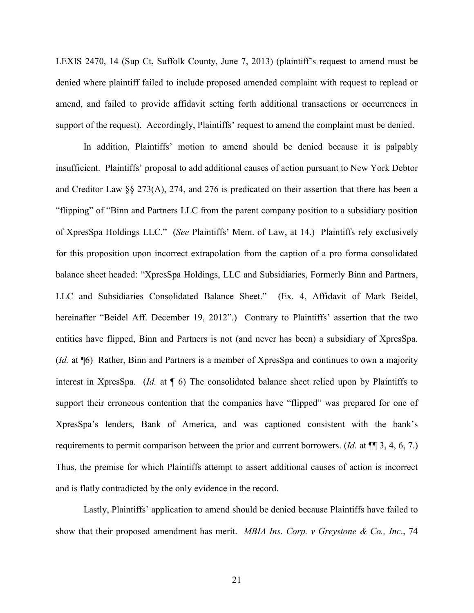LEXIS 2470, 14 (Sup Ct, Suffolk County, June 7, 2013) (plaintiff's request to amend must be denied where plaintiff failed to include proposed amended complaint with request to replead or amend, and failed to provide affidavit setting forth additional transactions or occurrences in support of the request). Accordingly, Plaintiffs' request to amend the complaint must be denied.

In addition, Plaintiffs' motion to amend should be denied because it is palpably insufficient. Plaintiffs' proposal to add additional causes of action pursuant to New York Debtor and Creditor Law §§ 273(A), 274, and 276 is predicated on their assertion that there has been a "flipping" of "Binn and Partners LLC from the parent company position to a subsidiary position of XpresSpa Holdings LLC." (*See* Plaintiffs' Mem. of Law, at 14.) Plaintiffs rely exclusively for this proposition upon incorrect extrapolation from the caption of a pro forma consolidated balance sheet headed: "XpresSpa Holdings, LLC and Subsidiaries, Formerly Binn and Partners, LLC and Subsidiaries Consolidated Balance Sheet." (Ex. 4, Affidavit of Mark Beidel, hereinafter "Beidel Aff. December 19, 2012".) Contrary to Plaintiffs' assertion that the two entities have flipped, Binn and Partners is not (and never has been) a subsidiary of XpresSpa. (*Id.* at ¶6) Rather, Binn and Partners is a member of XpresSpa and continues to own a majority interest in XpresSpa. (*Id.* at ¶ 6) The consolidated balance sheet relied upon by Plaintiffs to support their erroneous contention that the companies have "flipped" was prepared for one of XpresSpa's lenders, Bank of America, and was captioned consistent with the bank's requirements to permit comparison between the prior and current borrowers. (*Id.* at ¶¶ 3, 4, 6, 7.) Thus, the premise for which Plaintiffs attempt to assert additional causes of action is incorrect and is flatly contradicted by the only evidence in the record.

Lastly, Plaintiffs' application to amend should be denied because Plaintiffs have failed to show that their proposed amendment has merit. *MBIA Ins. Corp. v Greystone & Co., Inc*., 74

21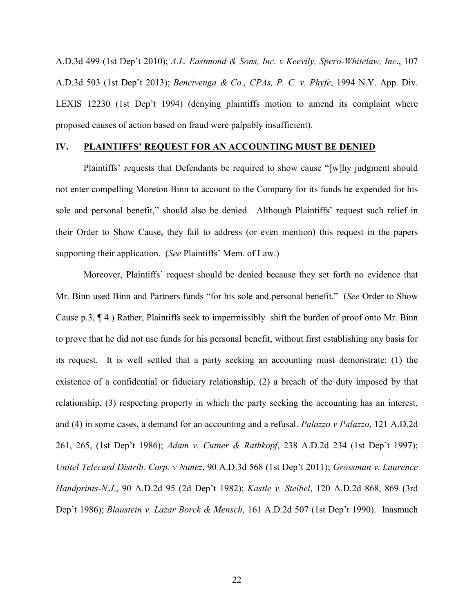A.D.3d 499 (1st Dep't 2010); *A.L. Eastmond & Sons, Inc. v Keevily, Spero-Whitelaw, Inc*., 107 A.D.3d 503 (1st Dep't 2013); *Bencivenga & Co., CPAs, P. C. v. Phyfe*, 1994 N.Y. App. Div. LEXIS 12230 (1st Dep't 1994) (denying plaintiffs motion to amend its complaint where proposed causes of action based on fraud were palpably insufficient).

### **IV. PLAINTIFFS' REQUEST FOR AN ACCOUNTING MUST BE DENIED**

Plaintiffs' requests that Defendants be required to show cause "[w]hy judgment should not enter compelling Moreton Binn to account to the Company for its funds he expended for his sole and personal benefit," should also be denied. Although Plaintiffs' request such relief in their Order to Show Cause, they fail to address (or even mention) this request in the papers supporting their application. (*See* Plaintiffs' Mem. of Law.)

Moreover, Plaintiffs' request should be denied because they set forth no evidence that Mr. Binn used Binn and Partners funds "for his sole and personal benefit." (*See* Order to Show Cause p.3, ¶ 4.) Rather, Plaintiffs seek to impermissibly shift the burden of proof onto Mr. Binn to prove that he did not use funds for his personal benefit, without first establishing any basis for its request. It is well settled that a party seeking an accounting must demonstrate: (1) the existence of a confidential or fiduciary relationship, (2) a breach of the duty imposed by that relationship, (3) respecting property in which the party seeking the accounting has an interest, and (4) in some cases, a demand for an accounting and a refusal. *Palazzo v Palazzo*, 121 A.D.2d 261, 265, (1st Dep't 1986); *Adam v. Cutner & Rathkopf*, 238 A.D.2d 234 (1st Dep't 1997); *Unitel Telecard Distrib. Corp. v Nunez*, 90 A.D.3d 568 (1st Dep't 2011); *Grossman v. Laurence Handprints-N.J*., 90 A.D.2d 95 (2d Dep't 1982); *Kastle v. Steibel*, 120 A.D.2d 868, 869 (3rd Dep't 1986); *Blaustein v. Lazar Borck & Mensch*, 161 A.D.2d 507 (1st Dep't 1990). Inasmuch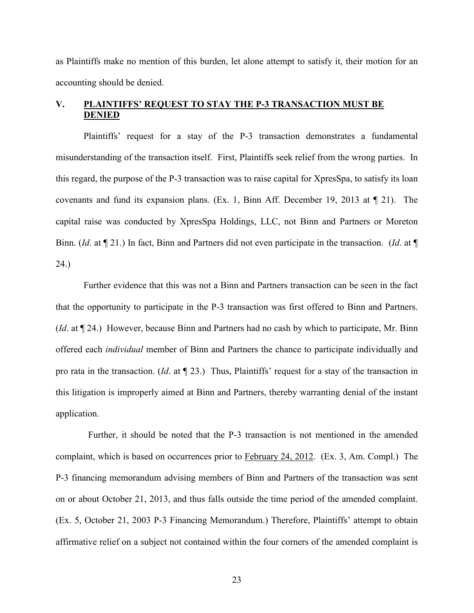as Plaintiffs make no mention of this burden, let alone attempt to satisfy it, their motion for an accounting should be denied.

# **V. PLAINTIFFS' REQUEST TO STAY THE P-3 TRANSACTION MUST BE DENIED**

Plaintiffs' request for a stay of the P-3 transaction demonstrates a fundamental misunderstanding of the transaction itself. First, Plaintiffs seek relief from the wrong parties. In this regard, the purpose of the P-3 transaction was to raise capital for XpresSpa, to satisfy its loan covenants and fund its expansion plans. (Ex. 1, Binn Aff. December 19, 2013 at ¶ 21). The capital raise was conducted by XpresSpa Holdings, LLC, not Binn and Partners or Moreton Binn. (*Id*. at ¶ 21.) In fact, Binn and Partners did not even participate in the transaction. (*Id*. at ¶ 24.)

Further evidence that this was not a Binn and Partners transaction can be seen in the fact that the opportunity to participate in the P-3 transaction was first offered to Binn and Partners. (*Id*. at ¶ 24.) However, because Binn and Partners had no cash by which to participate, Mr. Binn offered each *individual* member of Binn and Partners the chance to participate individually and pro rata in the transaction. (*Id*. at ¶ 23.) Thus, Plaintiffs' request for a stay of the transaction in this litigation is improperly aimed at Binn and Partners, thereby warranting denial of the instant application.

Further, it should be noted that the P-3 transaction is not mentioned in the amended complaint, which is based on occurrences prior to February 24, 2012. (Ex. 3, Am. Compl.) The P-3 financing memorandum advising members of Binn and Partners of the transaction was sent on or about October 21, 2013, and thus falls outside the time period of the amended complaint. (Ex. 5, October 21, 2003 P-3 Financing Memorandum.) Therefore, Plaintiffs' attempt to obtain affirmative relief on a subject not contained within the four corners of the amended complaint is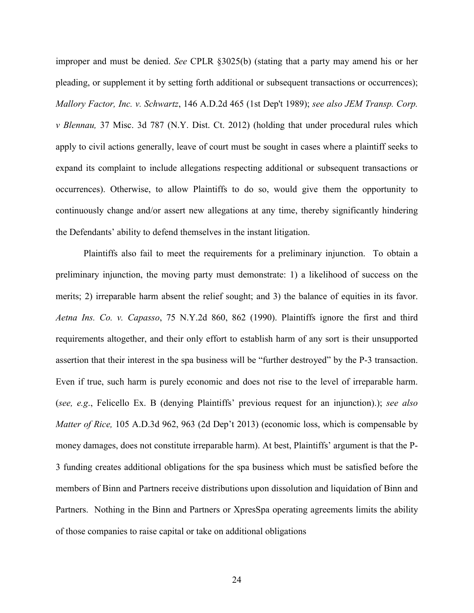improper and must be denied. *See* CPLR §3025(b) (stating that a party may amend his or her pleading, or supplement it by setting forth additional or subsequent transactions or occurrences); *Mallory Factor, Inc. v. Schwartz*, 146 A.D.2d 465 (1st Dep't 1989); *see also JEM Transp. Corp. v Blennau,* 37 Misc. 3d 787 (N.Y. Dist. Ct. 2012) (holding that under procedural rules which apply to civil actions generally, leave of court must be sought in cases where a plaintiff seeks to expand its complaint to include allegations respecting additional or subsequent transactions or occurrences). Otherwise, to allow Plaintiffs to do so, would give them the opportunity to continuously change and/or assert new allegations at any time, thereby significantly hindering the Defendants' ability to defend themselves in the instant litigation.

Plaintiffs also fail to meet the requirements for a preliminary injunction. To obtain a preliminary injunction, the moving party must demonstrate: 1) a likelihood of success on the merits; 2) irreparable harm absent the relief sought; and 3) the balance of equities in its favor. *Aetna Ins. Co. v. Capasso*, 75 N.Y.2d 860, 862 (1990). Plaintiffs ignore the first and third requirements altogether, and their only effort to establish harm of any sort is their unsupported assertion that their interest in the spa business will be "further destroyed" by the P-3 transaction. Even if true, such harm is purely economic and does not rise to the level of irreparable harm. (*see, e.g*., Felicello Ex. B (denying Plaintiffs' previous request for an injunction).); *see also Matter of Rice,* 105 A.D.3d 962, 963 (2d Dep't 2013) (economic loss, which is compensable by money damages, does not constitute irreparable harm). At best, Plaintiffs' argument is that the P-3 funding creates additional obligations for the spa business which must be satisfied before the members of Binn and Partners receive distributions upon dissolution and liquidation of Binn and Partners. Nothing in the Binn and Partners or XpresSpa operating agreements limits the ability of those companies to raise capital or take on additional obligations